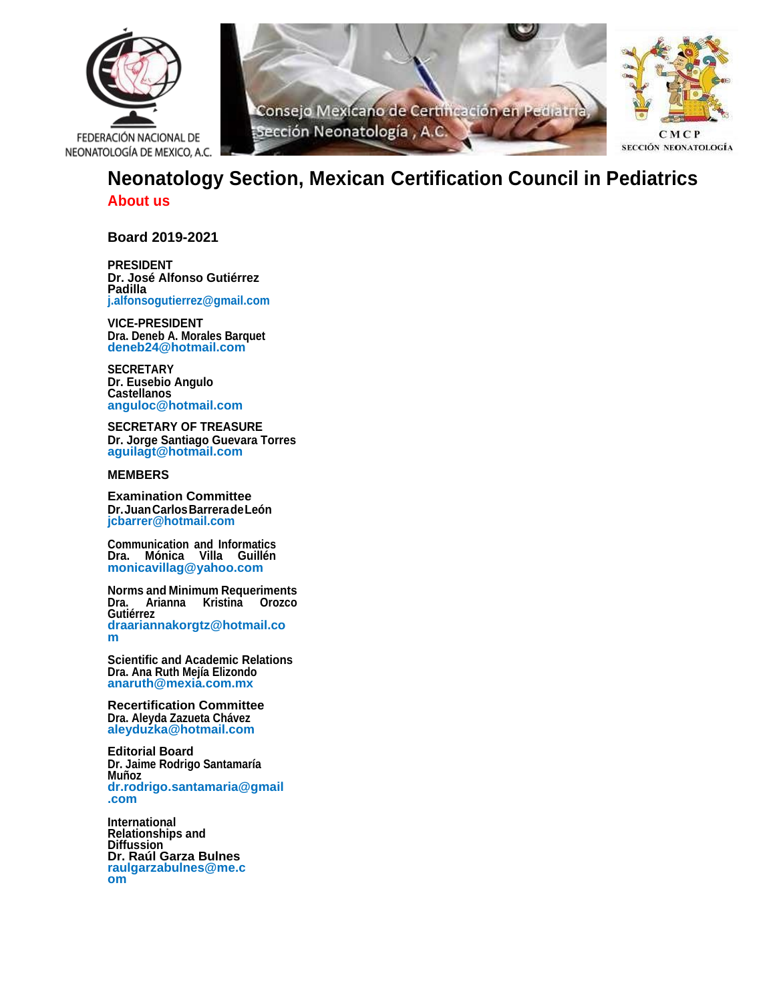





# **Neonatology Section, Mexican Certification Council in Pediatrics About us**

**Board 2019-2021**

**PRESIDENT Dr. José Alfonso Gutiérrez Padilla [j.alfonsogutierrez@gmail.com](mailto:j.alfonsogutierrez@gmail.com)**

**VICE-PRESIDENT Dra. Deneb A. Morales Barquet deneb24@hotmail.com**

**SECRETARY Dr. Eusebio Angulo Castellanos anguloc@hotmail.com**

**SECRETARY OF TREASURE Dr. Jorge Santiago Guevara Torres aguilagt@hotmail.com**

#### **MEMBERS**

**Examination Committee Dr.JuanCarlosBarreradeLeón [jcbarrer@hotmail.com](mailto:jcbarrer@hotmail.com)**

**Communication and Informatics Dra. Mónica Villa Guillén monicavillag@yahoo.com**

**Norms and Minimum Requeriments Dra. Arianna Kristina Orozco Gutiérrez draariannakorgtz@hotmail.co m**

**Scientific and Academic Relations Dra. Ana Ruth Mejía Elizondo anaruth@mexia.com.mx**

**Recertification Committee Dra. Aleyda Zazueta Chávez aleyduzka@hotmail.com**

**Editorial Board Dr. Jaime Rodrigo Santamaría Muñoz dr.rodrigo.santamaria@gmail .com**

**International Relationships and Diffussion Dr. Raúl Garza Bulnes raulgarzabulnes@me.c om**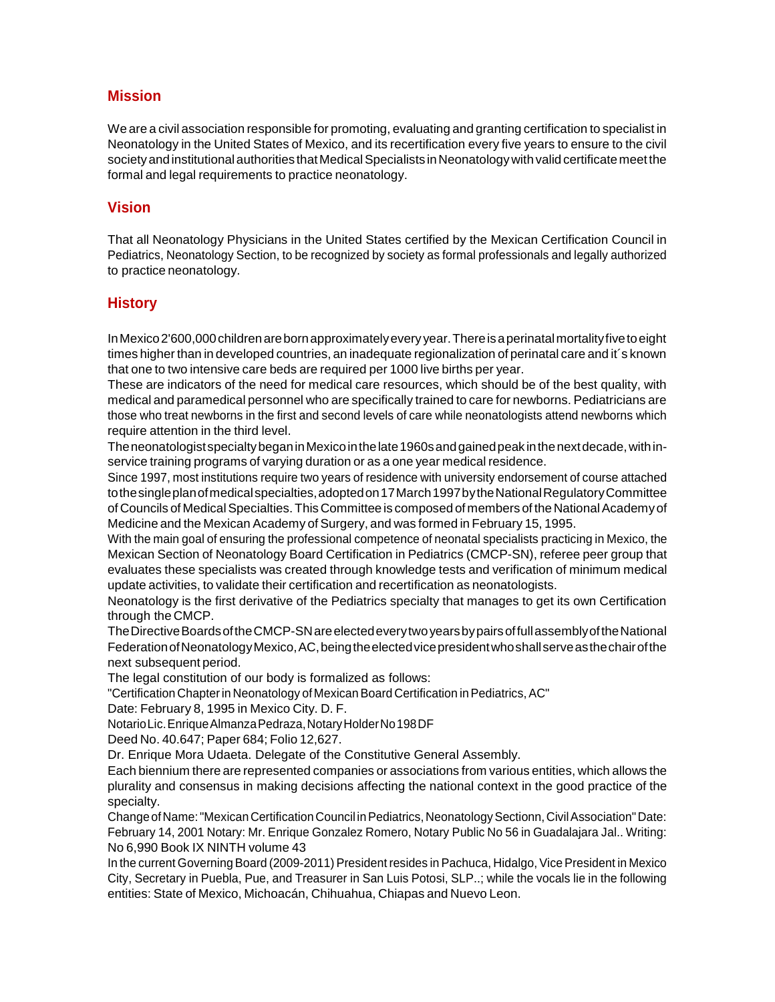## **Mission**

We are a civil association responsible for promoting, evaluating and granting certification to specialist in Neonatology in the United States of Mexico, and its recertification every five years to ensure to the civil society and institutional authorities that Medical Specialists in Neonatology with valid certificate meet the formal and legal requirements to practice neonatology.

## **Vision**

That all Neonatology Physicians in the United States certified by the Mexican Certification Council in Pediatrics, Neonatology Section, to be recognized by society as formal professionals and legally authorized to practice neonatology.

## **History**

InMexico2'600,000childrenarebornapproximatelyevery year.Thereisaperinatalmortalityfivetoeight times higher than in developed countries, an inadequate regionalization of perinatal care and it's known that one to two intensive care beds are required per 1000 live births per year.

These are indicators of the need for medical care resources, which should be of the best quality, with medical and paramedical personnel who are specifically trained to care for newborns. Pediatricians are those who treat newborns in the first and second levels of care while neonatologists attend newborns which require attention in the third level.

TheneonatologistspecialtybeganinMexicointhelate1960sandgainedpeak inthenextdecade,withinservice training programs of varying duration or as a one year medical residence.

Since 1997, most institutions require two years of residence with university endorsement of course attached tothe single plan of medical specialties, adopted on 17 March 1997 by the National Regulatory Committee of Councils of Medical Specialties. This Committee is composed of members of the National Academy of Medicine and the Mexican Academy of Surgery, and was formed in February 15, 1995.

With the main goal of ensuring the professional competence of neonatal specialists practicing in Mexico, the Mexican Section of Neonatology Board Certification in Pediatrics (CMCP-SN), referee peer group that evaluates these specialists was created through knowledge tests and verification of minimum medical update activities, to validate their certification and recertification as neonatologists.

Neonatology is the first derivative of the Pediatrics specialty that manages to get its own Certification through the CMCP.

TheDirectiveBoardsoftheCMCP-SNareelectedeverytwoyearsbypairsoffullassemblyoftheNational FederationofNeonatologyMexico,AC,beingtheelectedvicepresidentwhoshallserveasthechairofthe next subsequent period.

The legal constitution of our body is formalized as follows:

"Certification Chapterin Neonatology of MexicanBoard Certification inPediatrics,AC"

```
Date: February 8, 1995 in Mexico City. D. F.
```
NotarioLic.EnriqueAlmanzaPedraza,NotaryHolderNo198DF

Deed No. 40.647; Paper 684; Folio 12,627.

Dr. Enrique Mora Udaeta. Delegate of the Constitutive General Assembly.

Each biennium there are represented companies or associations from various entities, which allows the plurality and consensus in making decisions affecting the national context in the good practice of the specialty.

Change of Name: "Mexican Certification Council in Pediatrics, Neonatology Sectionn, Civil Association" Date: February 14, 2001 Notary: Mr. Enrique Gonzalez Romero, Notary Public No 56 in Guadalajara Jal.. Writing: No 6,990 Book IX NINTH volume 43

In the current Governing Board (2009-2011) President resides in Pachuca, Hidalgo, Vice President in Mexico City, Secretary in Puebla, Pue, and Treasurer in San Luis Potosi, SLP..; while the vocals lie in the following entities: State of Mexico, Michoacán, Chihuahua, Chiapas and Nuevo Leon.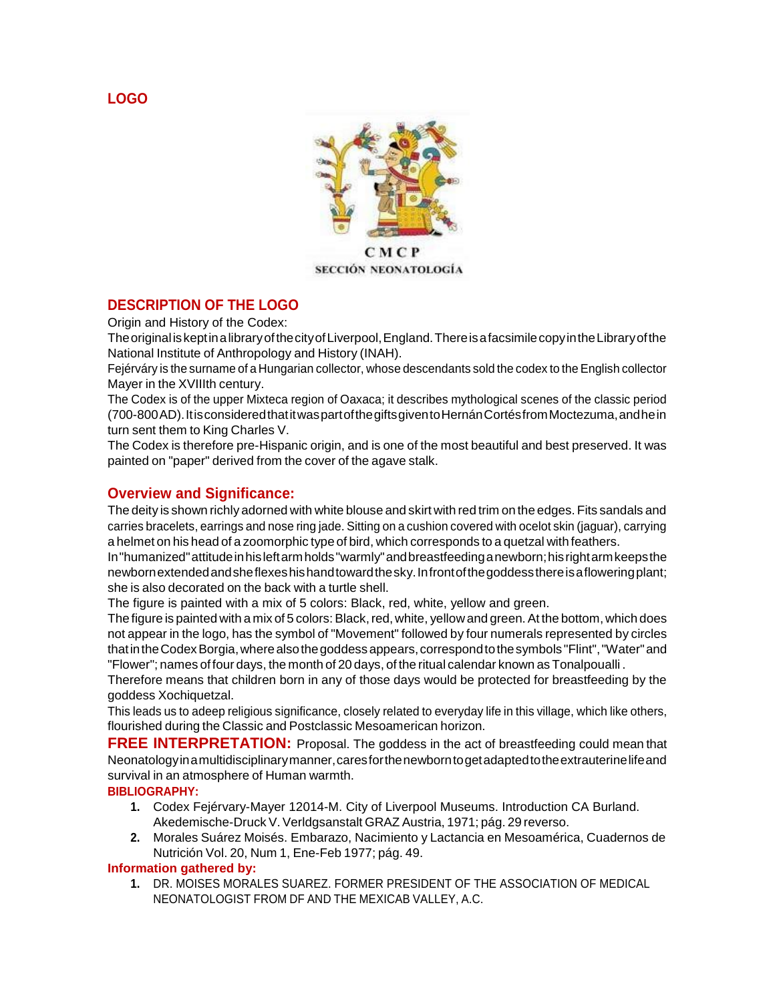**LOGO**



SECCIÓN NEONATOLOGÍA

## **DESCRIPTION OF THE LOGO**

Origin and History of the Codex:

Theoriginal iskeptinalibraryofthecityofLiverpool,England.ThereisafacsimilecopyintheLibraryofthe National Institute of Anthropology and History (INAH).

Fejérváry is the surname of a Hungarian collector, whose descendants sold the codex to the English collector Mayer in the XVIIIth century.

The Codex is of the upper Mixteca region of Oaxaca; it describes mythological scenes of the classic period (700-800AD).ItisconsideredthatitwaspartofthegiftsgiventoHernánCortésfromMoctezuma,andhein turn sent them to King Charles V.

The Codex is therefore pre-Hispanic origin, and is one of the most beautiful and best preserved. It was painted on "paper" derived from the cover of the agave stalk.

## **Overview and Significance:**

The deity is shown richly adorned with white blouse and skirt with red trim on the edges. Fits sandals and carries bracelets, earrings and nose ring jade. Sitting on a cushion covered with ocelot skin (jaguar), carrying a helmet on his head of a zoomorphic type of bird, which corresponds to a quetzal with feathers.

In"humanized"attitudeinhisleftarmholds"warmly"andbreastfeedinganewborn;hisrightarmkeepsthe newbornextendedandsheflexeshishandtowardthesky.Infrontofthegoddessthereisafloweringplant; she is also decorated on the back with a turtle shell.

The figure is painted with a mix of 5 colors: Black, red, white, yellow and green.

The figure is painted with a mix of 5 colors: Black, red, white, yellow and green. At the bottom, which does not appear in the logo, has the symbol of "Movement" followed by four numerals represented by circles thatintheCodexBorgia,wherealsothegoddessappears,correspondtothesymbols "Flint","Water"and "Flower"; names of four days, the month of 20 days, of the ritual calendar known as Tonalpoualli.

Therefore means that children born in any of those days would be protected for breastfeeding by the goddess Xochiquetzal.

This leads us to adeep religious significance, closely related to everyday life in this village, which like others, flourished during the Classic and Postclassic Mesoamerican horizon.

**FREE INTERPRETATION:** Proposal. The goddess in the act of breastfeeding could mean that Neonatologyinamultidisciplinarymanner,caresforthenewborntogetadaptedtotheextrauterinelifeand survival in an atmosphere of Human warmth.

## **BIBLIOGRAPHY:**

- **1.** Codex Fejérvary-Mayer 12014-M. City of Liverpool Museums. Introduction CA Burland. Akedemische-Druck V.Verldgsanstalt GRAZ Austria, 1971; pág. 29 reverso.
- **2.** Morales Suárez Moisés. Embarazo, Nacimiento y Lactancia en Mesoamérica, Cuadernos de Nutrición Vol. 20, Num 1, Ene-Feb 1977; pág. 49.

#### **Information gathered by:**

**1.** DR. MOISES MORALES SUAREZ. FORMER PRESIDENT OF THE ASSOCIATION OF MEDICAL NEONATOLOGIST FROM DF AND THE MEXICAB VALLEY, A.C.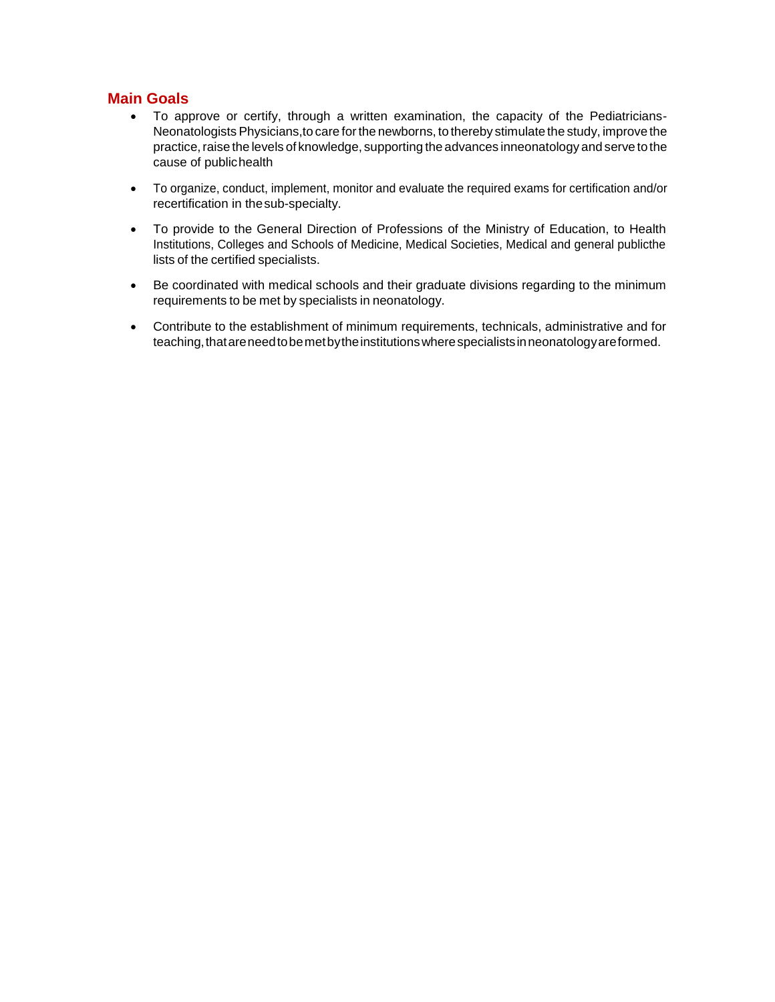## **Main Goals**

- To approve or certify, through a written examination, the capacity of the Pediatricians-Neonatologists Physicians, to care for the newborns, to thereby stimulate the study, improve the practice, raise the levels of knowledge, supporting the advances inneonatology and serve to the cause of publichealth
- To organize, conduct, implement, monitor and evaluate the required exams for certification and/or recertification in thesub-specialty.
- To provide to the General Direction of Professions of the Ministry of Education, to Health Institutions, Colleges and Schools of Medicine, Medical Societies, Medical and general publicthe lists of the certified specialists.
- Be coordinated with medical schools and their graduate divisions regarding to the minimum requirements to be met by specialists in neonatology.
- Contribute to the establishment of minimum requirements, technicals, administrative and for teaching,thatareneedtobemetbytheinstitutionswherespecialistsinneonatologyareformed.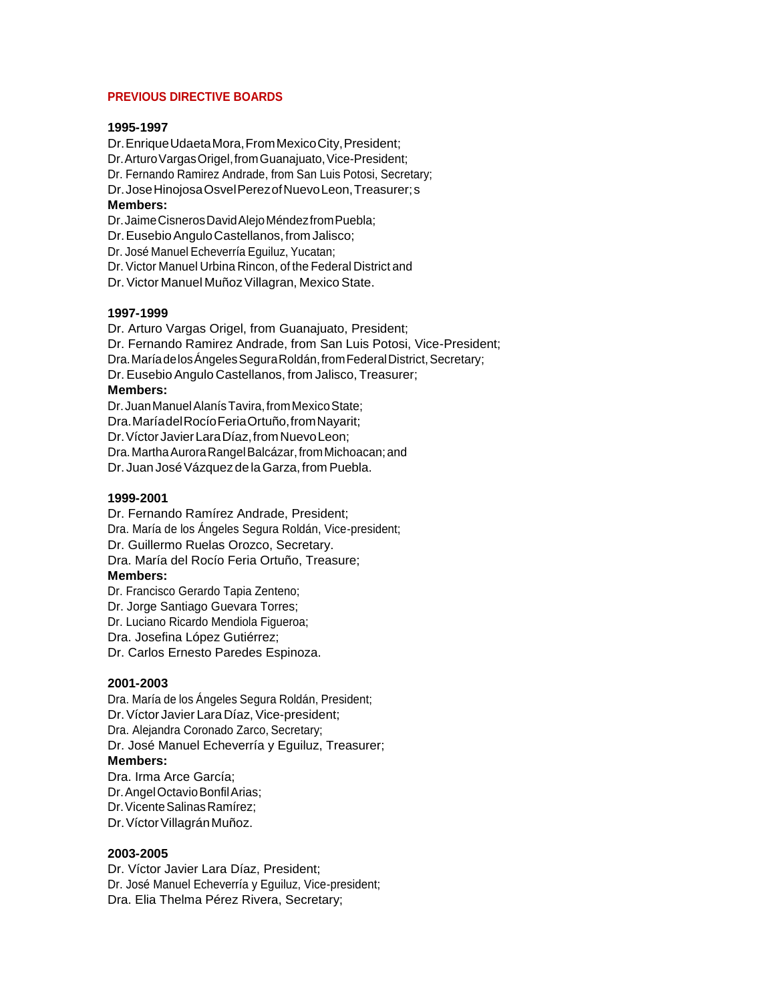#### **PREVIOUS DIRECTIVE BOARDS**

#### **1995-1997**

Dr.EnriqueUdaetaMora,FromMexicoCity,President; Dr. Arturo Vargas Origel, from Guanajuato, Vice-President; Dr. Fernando Ramirez Andrade, from San Luis Potosi, Secretary;

Dr.JoseHinojosaOsvelPerezofNuevoLeon,Treasurer;s

### **Members:**

Dr.JaimeCisnerosDavidAlejoMéndezfromPuebla;

Dr. Eusebio Angulo Castellanos, from Jalisco;

Dr. José Manuel Echeverría Eguiluz, Yucatan;

Dr. Victor Manuel Urbina Rincon, of the Federal District and

Dr. Victor Manuel Muñoz Villagran, Mexico State.

#### **1997-1999**

Dr. Arturo Vargas Origel, from Guanajuato, President; Dr. Fernando Ramirez Andrade, from San Luis Potosi, Vice-President; Dra. María de los Ángeles Segura Roldán, from Federal District, Secretary; Dr.Eusebio Angulo Castellanos, from Jalisco, Treasurer; **Members:** Dr. Juan Manuel Alanís Tavira, from Mexico State:

Dra.MaríadelRocíoFeriaOrtuño,fromNayarit; Dr.VíctorJavierLaraDíaz,fromNuevoLeon;

Dra. Martha Aurora Rangel Balcázar, from Michoacan; and

Dr. Juan José Vázquez de la Garza, from Puebla.

#### **1999-2001**

Dr. Fernando Ramírez Andrade, President; Dra. María de los Ángeles Segura Roldán, Vice-president; Dr. Guillermo Ruelas Orozco, Secretary. Dra. María del Rocío Feria Ortuño, Treasure; **Members:**

Dr. Francisco Gerardo Tapia Zenteno; Dr. Jorge Santiago Guevara Torres;

Dr. Luciano Ricardo Mendiola Figueroa;

Dra. Josefina López Gutiérrez;

Dr. Carlos Ernesto Paredes Espinoza.

#### **2001-2003**

Dra. María de los Ángeles Segura Roldán, President; Dr.Víctor Javier Lara Díaz, Vice-president; Dra. Alejandra Coronado Zarco, Secretary; Dr. José Manuel Echeverría y Eguiluz, Treasurer; **Members:** Dra. Irma Arce García;

Dr.AngelOctavioBonfilArias; Dr. Vicente Salinas Ramírez; Dr. Víctor Villagrán Muñoz.

#### **2003-2005**

Dr. Víctor Javier Lara Díaz, President; Dr. José Manuel Echeverría y Eguiluz, Vice-president; Dra. Elia Thelma Pérez Rivera, Secretary;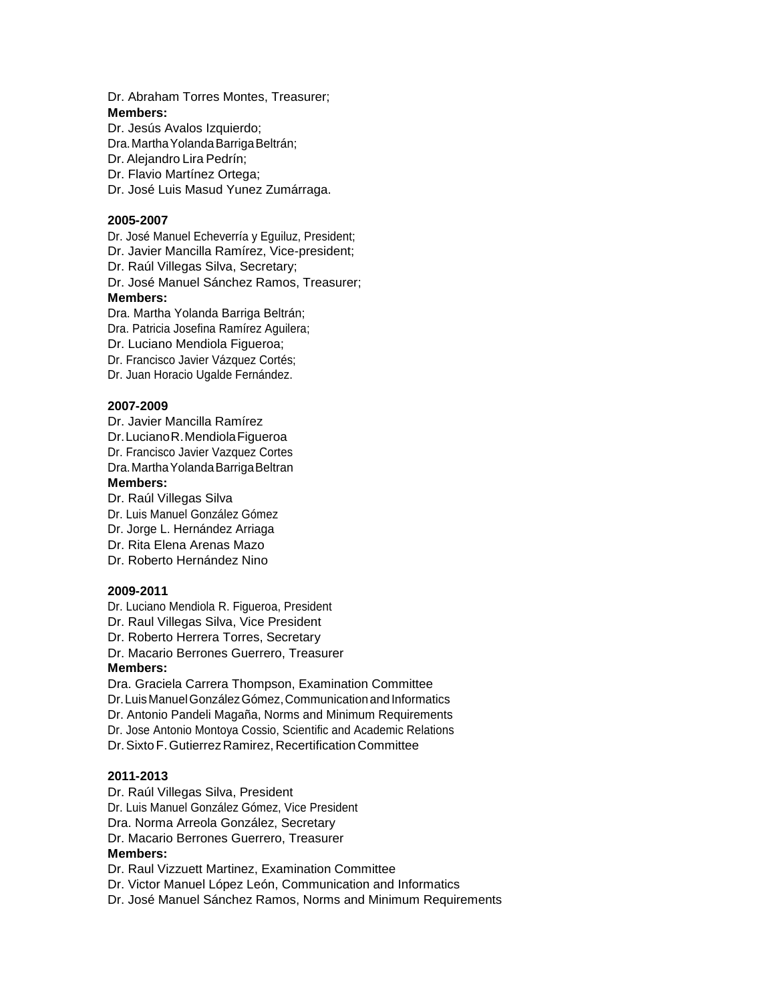Dr. Abraham Torres Montes, Treasurer; **Members:**

Dr. Jesús Avalos Izquierdo; Dra. Martha Yolanda Barriga Beltrán; Dr. Alejandro Lira Pedrín; Dr. Flavio Martínez Ortega; Dr. José Luis Masud Yunez Zumárraga.

#### **2005-2007**

Dr. José Manuel Echeverría y Eguiluz, President;

Dr. Javier Mancilla Ramírez, Vice-president;

Dr. Raúl Villegas Silva, Secretary;

Dr. José Manuel Sánchez Ramos, Treasurer;

#### **Members:**

Dra. Martha Yolanda Barriga Beltrán;

Dra. Patricia Josefina Ramírez Aguilera;

Dr. Luciano Mendiola Figueroa;

Dr. Francisco Javier Vázquez Cortés;

Dr. Juan Horacio Ugalde Fernández.

#### **2007-2009**

Dr. Javier Mancilla Ramírez Dr.LucianoR.MendiolaFigueroa

Dr. Francisco Javier Vazquez Cortes

Dra.MarthaYolandaBarrigaBeltran

#### **Members:**

Dr. Raúl Villegas Silva

Dr. Luis Manuel González Gómez

Dr. Jorge L. Hernández Arriaga

Dr. Rita Elena Arenas Mazo

Dr. Roberto Hernández Nino

#### **2009-2011**

Dr. Luciano Mendiola R. Figueroa, President

Dr. Raul Villegas Silva, Vice President

Dr. Roberto Herrera Torres, Secretary

Dr. Macario Berrones Guerrero, Treasurer **Members:**

Dra. Graciela Carrera Thompson, Examination Committee Dr. Luis Manuel González Gómez, Communication and Informatics Dr. Antonio Pandeli Magaña, Norms and Minimum Requirements Dr. Jose Antonio Montoya Cossio, Scientific and Academic Relations Dr. Sixto F. Gutierrez Ramirez, Recertification Committee

#### **2011-2013**

Dr. Raúl Villegas Silva, President Dr. Luis Manuel González Gómez, Vice President Dra. Norma Arreola González, Secretary Dr. Macario Berrones Guerrero, Treasurer **Members:** Dr. Raul Vizzuett Martinez, Examination Committee Dr. Victor Manuel López León, Communication and Informatics

Dr. José Manuel Sánchez Ramos, Norms and Minimum Requirements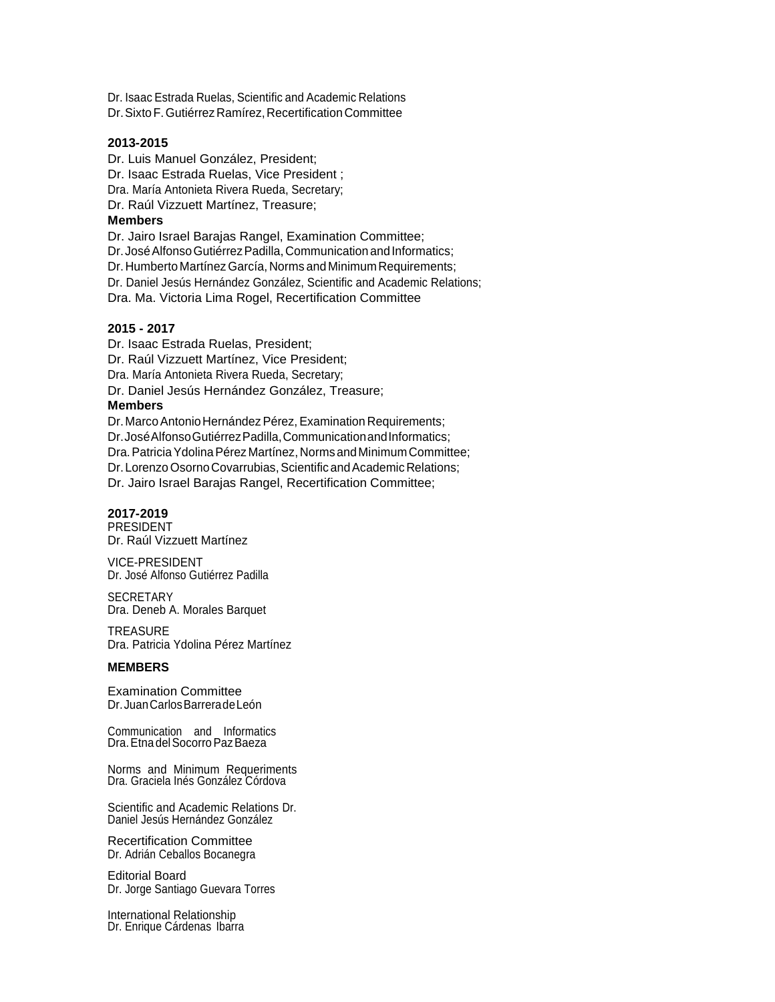Dr. Isaac Estrada Ruelas, Scientific and Academic Relations Dr. Sixto F. Gutiérrez Ramírez, Recertification Committee

#### **2013-2015**

Dr. Luis Manuel González, President;

Dr. Isaac Estrada Ruelas, Vice President ;

Dra. María Antonieta Rivera Rueda, Secretary;

Dr. Raúl Vizzuett Martínez, Treasure;

#### **Members**

Dr. Jairo Israel Barajas Rangel, Examination Committee;

Dr. José Alfonso Gutiérrez Padilla, Communication and Informatics;

Dr. Humberto Martínez García, Norms and Minimum Requirements;

Dr. Daniel Jesús Hernández González, Scientific and Academic Relations;

Dra. Ma. Victoria Lima Rogel, Recertification Committee

#### **2015 - 2017**

Dr. Isaac Estrada Ruelas, President; Dr. Raúl Vizzuett Martínez, Vice President; Dra. María Antonieta Rivera Rueda, Secretary; Dr. Daniel Jesús Hernández González, Treasure; **Members** Dr. Marco Antonio Hernández Pérez, Examination Requirements;

Dr.José Alfonso Gutiérrez Padilla, Communication and Informatics; Dra. Patricia Ydolina Pérez Martínez, Norms and Minimum Committee; Dr. Lorenzo Osorno Covarrubias, Scientific and Academic Relations; Dr. Jairo Israel Barajas Rangel, Recertification Committee;

#### **2017-2019**

PRESIDENT Dr. Raúl Vizzuett Martínez

VICE-PRESIDENT Dr. José Alfonso Gutiérrez Padilla

**SECRETARY** Dra. Deneb A. Morales Barquet

**TREASURE** Dra. Patricia Ydolina Pérez Martínez

#### **MEMBERS**

Examination Committee Dr.JuanCarlosBarreradeLeón

Communication and Informatics Dra.EtnadelSocorroPazBaeza

Norms and Minimum Requeriments Dra. Graciela Inés González Córdova

Scientific and Academic Relations Dr. Daniel Jesús Hernández González

Recertification Committee Dr. Adrián Ceballos Bocanegra

Editorial Board Dr. Jorge Santiago Guevara Torres

International Relationship Dr. Enrique Cárdenas Ibarra